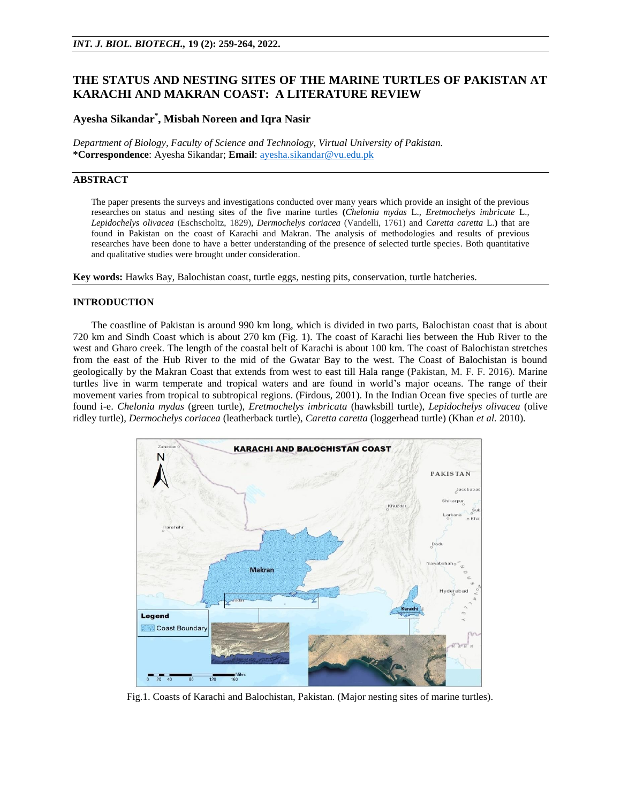# **THE STATUS AND NESTING SITES OF THE MARINE TURTLES OF PAKISTAN AT KARACHI AND MAKRAN COAST: A LITERATURE REVIEW**

# **Ayesha Sikandar\* , Misbah Noreen and Iqra Nasir**

*Department of Biology, Faculty of Science and Technology, Virtual University of Pakistan.* **\*Correspondence**: Ayesha Sikandar; **Email**: [ayesha.sikandar@vu.edu.pk](mailto:ayesha.sikandar@vu.edu.pk)

# **ABSTRACT**

The paper presents the surveys and investigations conducted over many years which provide an insight of the previous researches on status and nesting sites of the five marine turtles **(***Chelonia mydas* L.*, Eretmochelys imbricate* L.*, Lepidochelys olivacea* (Eschscholtz, 1829)*, Dermochelys coriacea* (Vandelli, 1761) and *Caretta caretta* L.**)** that are found in Pakistan on the coast of Karachi and Makran. The analysis of methodologies and results of previous researches have been done to have a better understanding of the presence of selected turtle species. Both quantitative and qualitative studies were brought under consideration.

**Key words:** Hawks Bay, Balochistan coast, turtle eggs, nesting pits, conservation, turtle hatcheries.

## **INTRODUCTION**

The coastline of Pakistan is around 990 km long, which is divided in two parts, Balochistan coast that is about 720 km and Sindh Coast which is about 270 km (Fig. 1). The coast of Karachi lies between the Hub River to the west and Gharo creek. The length of the coastal belt of Karachi is about 100 km. The coast of Balochistan stretches from the east of the Hub River to the mid of the Gwatar Bay to the west. The Coast of Balochistan is bound geologically by the Makran Coast that extends from west to east till Hala range (Pakistan, M. F. F. 2016). Marine turtles live in warm temperate and tropical waters and are found in world's major oceans. The range of their movement varies from tropical to subtropical regions. (Firdous, 2001). In the Indian Ocean five species of turtle are found i-e. *Chelonia mydas* (green turtle), *Eretmochelys imbricata* (hawksbill turtle), *Lepidochelys olivacea* (olive ridley turtle), *Dermochelys coriacea* (leatherback turtle), *Caretta caretta* (loggerhead turtle) (Khan *et al.* 2010).



Fig.1. Coasts of Karachi and Balochistan, Pakistan. (Major nesting sites of marine turtles).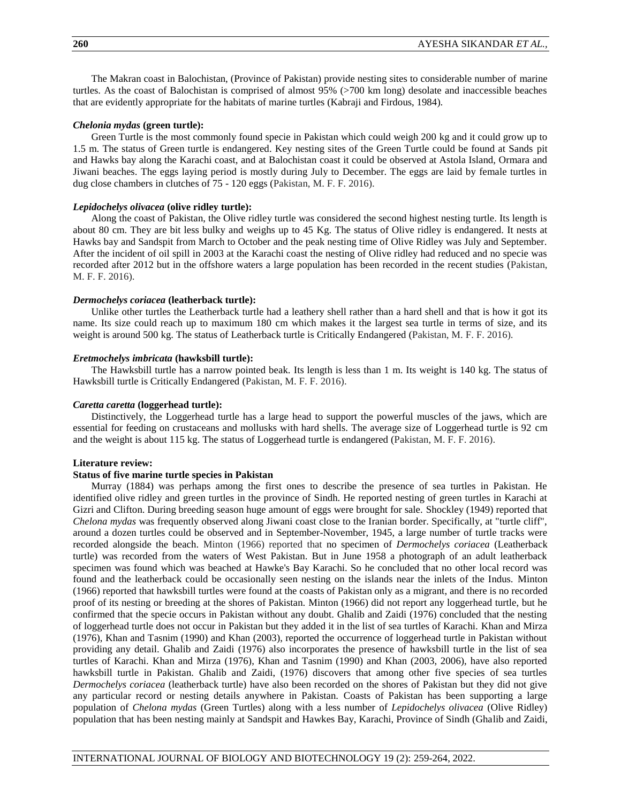The Makran coast in Balochistan, (Province of Pakistan) provide nesting sites to considerable number of marine turtles. As the coast of Balochistan is comprised of almost 95% (>700 km long) desolate and inaccessible beaches that are evidently appropriate for the habitats of marine turtles (Kabraji and Firdous, 1984).

# *Chelonia mydas* **(green turtle):**

Green Turtle is the most commonly found specie in Pakistan which could weigh 200 kg and it could grow up to 1.5 m. The status of Green turtle is endangered. Key nesting sites of the Green Turtle could be found at Sands pit and Hawks bay along the Karachi coast, and at Balochistan coast it could be observed at Astola Island, Ormara and Jiwani beaches. The eggs laying period is mostly during July to December. The eggs are laid by female turtles in dug close chambers in clutches of 75 - 120 eggs (Pakistan, M. F. F. 2016).

#### *Lepidochelys olivacea* **(olive ridley turtle):**

Along the coast of Pakistan, the Olive ridley turtle was considered the second highest nesting turtle. Its length is about 80 cm. They are bit less bulky and weighs up to 45 Kg. The status of Olive ridley is endangered. It nests at Hawks bay and Sandspit from March to October and the peak nesting time of Olive Ridley was July and September. After the incident of oil spill in 2003 at the Karachi coast the nesting of Olive ridley had reduced and no specie was recorded after 2012 but in the offshore waters a large population has been recorded in the recent studies (Pakistan, M. F. F. 2016).

#### *Dermochelys coriacea* **(leatherback turtle):**

Unlike other turtles the Leatherback turtle had a leathery shell rather than a hard shell and that is how it got its name. Its size could reach up to maximum 180 cm which makes it the largest sea turtle in terms of size, and its weight is around 500 kg. The status of Leatherback turtle is Critically Endangered (Pakistan, M. F. F. 2016).

#### *Eretmochelys imbricata* **(hawksbill turtle):**

The Hawksbill turtle has a narrow pointed beak. Its length is less than 1 m. Its weight is 140 kg. The status of Hawksbill turtle is Critically Endangered (Pakistan, M. F. F. 2016).

#### *Caretta caretta* **(loggerhead turtle):**

Distinctively, the Loggerhead turtle has a large head to support the powerful muscles of the jaws, which are essential for feeding on crustaceans and mollusks with hard shells. The average size of Loggerhead turtle is 92 cm and the weight is about 115 kg. The status of Loggerhead turtle is endangered (Pakistan, M. F. F. 2016).

#### **Literature review:**

### **Status of five marine turtle species in Pakistan**

Murray (1884) was perhaps among the first ones to describe the presence of sea turtles in Pakistan. He identified olive ridley and green turtles in the province of Sindh. He reported nesting of green turtles in Karachi at Gizri and Clifton. During breeding season huge amount of eggs were brought for sale. Shockley (1949) reported that *Chelona mydas* was frequently observed along Jiwani coast close to the Iranian border. Specifically, at "turtle cliff", around a dozen turtles could be observed and in September-November, 1945, a large number of turtle tracks were recorded alongside the beach. Minton (1966) reported that no specimen of *Dermochelys coriacea* (Leatherback turtle) was recorded from the waters of West Pakistan. But in June 1958 a photograph of an adult leatherback specimen was found which was beached at Hawke's Bay Karachi. So he concluded that no other local record was found and the leatherback could be occasionally seen nesting on the islands near the inlets of the Indus. Minton (1966) reported that hawksbill turtles were found at the coasts of Pakistan only as a migrant, and there is no recorded proof of its nesting or breeding at the shores of Pakistan. Minton (1966) did not report any loggerhead turtle, but he confirmed that the specie occurs in Pakistan without any doubt. Ghalib and Zaidi (1976) concluded that the nesting of loggerhead turtle does not occur in Pakistan but they added it in the list of sea turtles of Karachi. Khan and Mirza (1976), Khan and Tasnim (1990) and Khan (2003), reported the occurrence of loggerhead turtle in Pakistan without providing any detail. Ghalib and Zaidi (1976) also incorporates the presence of hawksbill turtle in the list of sea turtles of Karachi. Khan and Mirza (1976), Khan and Tasnim (1990) and Khan (2003, 2006), have also reported hawksbill turtle in Pakistan. Ghalib and Zaidi, (1976) discovers that among other five species of sea turtles *Dermochelys coriacea* (leatherback turtle) have also been recorded on the shores of Pakistan but they did not give any particular record or nesting details anywhere in Pakistan. Coasts of Pakistan has been supporting a large population of *Chelona mydas* (Green Turtles) along with a less number of *Lepidochelys olivacea* (Olive Ridley) population that has been nesting mainly at Sandspit and Hawkes Bay, Karachi, Province of Sindh (Ghalib and Zaidi,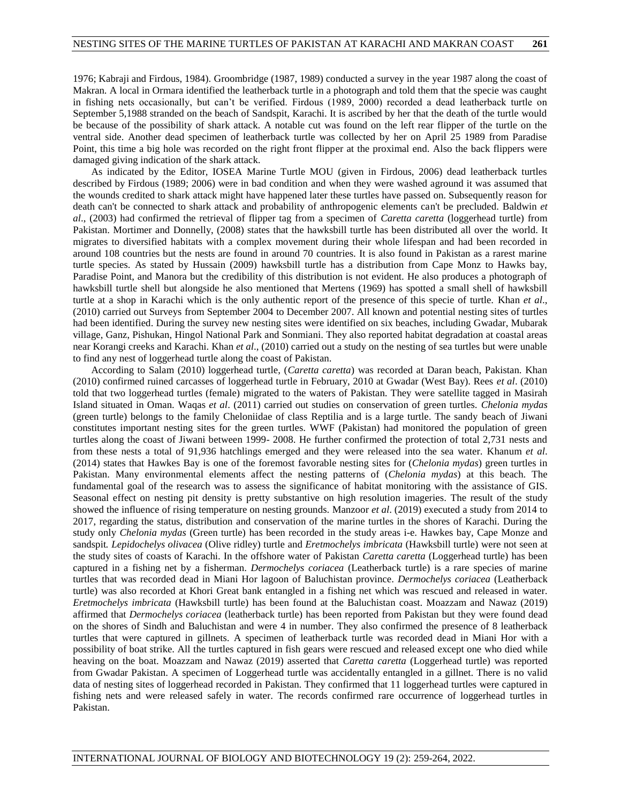1976; Kabraji and Firdous, 1984). Groombridge (1987, 1989) conducted a survey in the year 1987 along the coast of Makran. A local in Ormara identified the leatherback turtle in a photograph and told them that the specie was caught in fishing nets occasionally, but can't be verified. Firdous (1989, 2000) recorded a dead leatherback turtle on September 5,1988 stranded on the beach of Sandspit, Karachi. It is ascribed by her that the death of the turtle would be because of the possibility of shark attack. A notable cut was found on the left rear flipper of the turtle on the ventral side. Another dead specimen of leatherback turtle was collected by her on April 25 1989 from Paradise Point, this time a big hole was recorded on the right front flipper at the proximal end. Also the back flippers were damaged giving indication of the shark attack.

As indicated by the Editor, IOSEA Marine Turtle MOU (given in Firdous, 2006) dead leatherback turtles described by Firdous (1989; 2006) were in bad condition and when they were washed aground it was assumed that the wounds credited to shark attack might have happened later these turtles have passed on. Subsequently reason for death can't be connected to shark attack and probability of anthropogenic elements can't be precluded. Baldwin *et al*., (2003) had confirmed the retrieval of flipper tag from a specimen of *Caretta caretta* (loggerhead turtle) from Pakistan. Mortimer and Donnelly, (2008) states that the hawksbill turtle has been distributed all over the world. It migrates to diversified habitats with a complex movement during their whole lifespan and had been recorded in around 108 countries but the nests are found in around 70 countries. It is also found in Pakistan as a rarest marine turtle species. As stated by Hussain (2009) hawksbill turtle has a distribution from Cape Monz to Hawks bay, Paradise Point, and Manora but the credibility of this distribution is not evident. He also produces a photograph of hawksbill turtle shell but alongside he also mentioned that Mertens (1969) has spotted a small shell of hawksbill turtle at a shop in Karachi which is the only authentic report of the presence of this specie of turtle. Khan *et al*., (2010) carried out Surveys from September 2004 to December 2007. All known and potential nesting sites of turtles had been identified. During the survey new nesting sites were identified on six beaches, including Gwadar, Mubarak village, Ganz, Pishukan, Hingol National Park and Sonmiani. They also reported habitat degradation at coastal areas near Korangi creeks and Karachi. Khan *et al*., (2010) carried out a study on the nesting of sea turtles but were unable to find any nest of loggerhead turtle along the coast of Pakistan.

According to Salam (2010) loggerhead turtle, (*Caretta caretta*) was recorded at Daran beach, Pakistan. Khan (2010) confirmed ruined carcasses of loggerhead turtle in February, 2010 at Gwadar (West Bay). Rees *et al*. (2010) told that two loggerhead turtles (female) migrated to the waters of Pakistan. They were satellite tagged in Masirah Island situated in Oman. Waqas *et al*. (2011) carried out studies on conservation of green turtles. *Chelonia mydas* (green turtle) belongs to the family Cheloniidae of class Reptilia and is a large turtle. The sandy beach of Jiwani constitutes important nesting sites for the green turtles. WWF (Pakistan) had monitored the population of green turtles along the coast of Jiwani between 1999- 2008. He further confirmed the protection of total 2,731 nests and from these nests a total of 91,936 hatchlings emerged and they were released into the sea water. Khanum *et al*. (2014) states that Hawkes Bay is one of the foremost favorable nesting sites for (*Chelonia mydas*) green turtles in Pakistan. Many environmental elements affect the nesting patterns of (*Chelonia mydas*) at this beach. The fundamental goal of the research was to assess the significance of habitat monitoring with the assistance of GIS. Seasonal effect on nesting pit density is pretty substantive on high resolution imageries. The result of the study showed the influence of rising temperature on nesting grounds. Manzoor *et al*. (2019) executed a study from 2014 to 2017, regarding the status, distribution and conservation of the marine turtles in the shores of Karachi. During the study only *Chelonia mydas* (Green turtle) has been recorded in the study areas i-e. Hawkes bay, Cape Monze and sandspit*. Lepidochelys olivacea* (Olive ridley) turtle and *Eretmochelys imbricata* (Hawksbill turtle) were not seen at the study sites of coasts of Karachi. In the offshore water of Pakistan *Caretta caretta* (Loggerhead turtle) has been captured in a fishing net by a fisherman. *Dermochelys coriacea* (Leatherback turtle) is a rare species of marine turtles that was recorded dead in Miani Hor lagoon of Baluchistan province. *Dermochelys coriacea* (Leatherback turtle) was also recorded at Khori Great bank entangled in a fishing net which was rescued and released in water. *Eretmochelys imbricata* (Hawksbill turtle) has been found at the Baluchistan coast. Moazzam and Nawaz (2019) affirmed that *Dermochelys coriacea* (leatherback turtle) has been reported from Pakistan but they were found dead on the shores of Sindh and Baluchistan and were 4 in number. They also confirmed the presence of 8 leatherback turtles that were captured in gillnets. A specimen of leatherback turtle was recorded dead in Miani Hor with a possibility of boat strike. All the turtles captured in fish gears were rescued and released except one who died while heaving on the boat. Moazzam and Nawaz (2019) asserted that *Caretta caretta* (Loggerhead turtle) was reported from Gwadar Pakistan. A specimen of Loggerhead turtle was accidentally entangled in a gillnet. There is no valid data of nesting sites of loggerhead recorded in Pakistan. They confirmed that 11 loggerhead turtles were captured in fishing nets and were released safely in water. The records confirmed rare occurrence of loggerhead turtles in Pakistan.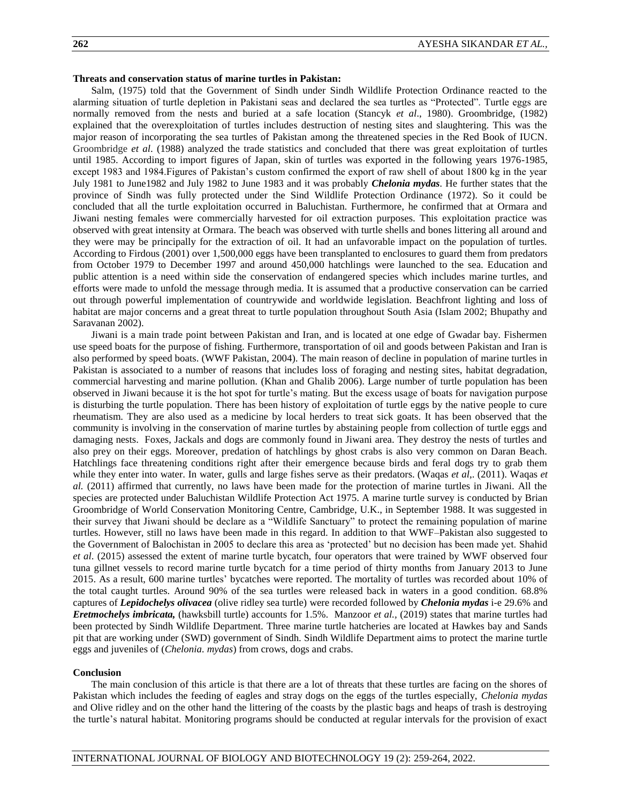## **Threats and conservation status of marine turtles in Pakistan:**

Salm, (1975) told that the Government of Sindh under Sindh Wildlife Protection Ordinance reacted to the alarming situation of turtle depletion in Pakistani seas and declared the sea turtles as "Protected". Turtle eggs are normally removed from the nests and buried at a safe location (Stancyk *et al*., 1980). Groombridge, (1982) explained that the overexploitation of turtles includes destruction of nesting sites and slaughtering. This was the major reason of incorporating the sea turtles of Pakistan among the threatened species in the Red Book of IUCN. Groombridge *et al*. (1988) analyzed the trade statistics and concluded that there was great exploitation of turtles until 1985. According to import figures of Japan, skin of turtles was exported in the following years 1976-1985, except 1983 and 1984.Figures of Pakistan's custom confirmed the export of raw shell of about 1800 kg in the year July 1981 to June1982 and July 1982 to June 1983 and it was probably *Chelonia mydas*. He further states that the province of Sindh was fully protected under the Sind Wildlife Protection Ordinance (1972). So it could be concluded that all the turtle exploitation occurred in Baluchistan. Furthermore, he confirmed that at Ormara and Jiwani nesting females were commercially harvested for oil extraction purposes. This exploitation practice was observed with great intensity at Ormara. The beach was observed with turtle shells and bones littering all around and they were may be principally for the extraction of oil. It had an unfavorable impact on the population of turtles. According to Firdous (2001) over 1,500,000 eggs have been transplanted to enclosures to guard them from predators from October 1979 to December 1997 and around 450,000 hatchlings were launched to the sea. Education and public attention is a need within side the conservation of endangered species which includes marine turtles, and efforts were made to unfold the message through media. It is assumed that a productive conservation can be carried out through powerful implementation of countrywide and worldwide legislation. Beachfront lighting and loss of habitat are major concerns and a great threat to turtle population throughout South Asia (Islam 2002; Bhupathy and Saravanan 2002).

Jiwani is a main trade point between Pakistan and Iran, and is located at one edge of Gwadar bay. Fishermen use speed boats for the purpose of fishing. Furthermore, transportation of oil and goods between Pakistan and Iran is also performed by speed boats. (WWF Pakistan, 2004). The main reason of decline in population of marine turtles in Pakistan is associated to a number of reasons that includes loss of foraging and nesting sites, habitat degradation, commercial harvesting and marine pollution. (Khan and Ghalib 2006). Large number of turtle population has been observed in Jiwani because it is the hot spot for turtle's mating. But the excess usage of boats for navigation purpose is disturbing the turtle population. There has been history of exploitation of turtle eggs by the native people to cure rheumatism. They are also used as a medicine by local herders to treat sick goats. It has been observed that the community is involving in the conservation of marine turtles by abstaining people from collection of turtle eggs and damaging nests. Foxes, Jackals and dogs are commonly found in Jiwani area. They destroy the nests of turtles and also prey on their eggs. Moreover, predation of hatchlings by ghost crabs is also very common on Daran Beach. Hatchlings face threatening conditions right after their emergence because birds and feral dogs try to grab them while they enter into water. In water, gulls and large fishes serve as their predators. (Waqas *et al.*, (2011). Waqas *et al.* (2011) affirmed that currently, no laws have been made for the protection of marine turtles in Jiwani. All the species are protected under Baluchistan Wildlife Protection Act 1975. A marine turtle survey is conducted by Brian Groombridge of World Conservation Monitoring Centre, Cambridge, U.K., in September 1988. It was suggested in their survey that Jiwani should be declare as a "Wildlife Sanctuary" to protect the remaining population of marine turtles. However, still no laws have been made in this regard. In addition to that WWF–Pakistan also suggested to the Government of Balochistan in 2005 to declare this area as 'protected' but no decision has been made yet. Shahid *et al*. (2015) assessed the extent of marine turtle bycatch, four operators that were trained by WWF observed four tuna gillnet vessels to record marine turtle bycatch for a time period of thirty months from January 2013 to June 2015. As a result, 600 marine turtles' bycatches were reported. The mortality of turtles was recorded about 10% of the total caught turtles. Around 90% of the sea turtles were released back in waters in a good condition. 68.8% captures of *Lepidochelys olivacea* (olive ridley sea turtle) were recorded followed by *Chelonia mydas* i-e 29.6% and *Eretmochelys imbricata,* (hawksbill turtle) accounts for 1.5%. Manzoor *et al.,* (2019) states that marine turtles had been protected by Sindh Wildlife Department. Three marine turtle hatcheries are located at Hawkes bay and Sands pit that are working under (SWD) government of Sindh. Sindh Wildlife Department aims to protect the marine turtle eggs and juveniles of (*Chelonia. mydas*) from crows, dogs and crabs.

#### **Conclusion**

The main conclusion of this article is that there are a lot of threats that these turtles are facing on the shores of Pakistan which includes the feeding of eagles and stray dogs on the eggs of the turtles especially, *Chelonia mydas* and Olive ridley and on the other hand the littering of the coasts by the plastic bags and heaps of trash is destroying the turtle's natural habitat. Monitoring programs should be conducted at regular intervals for the provision of exact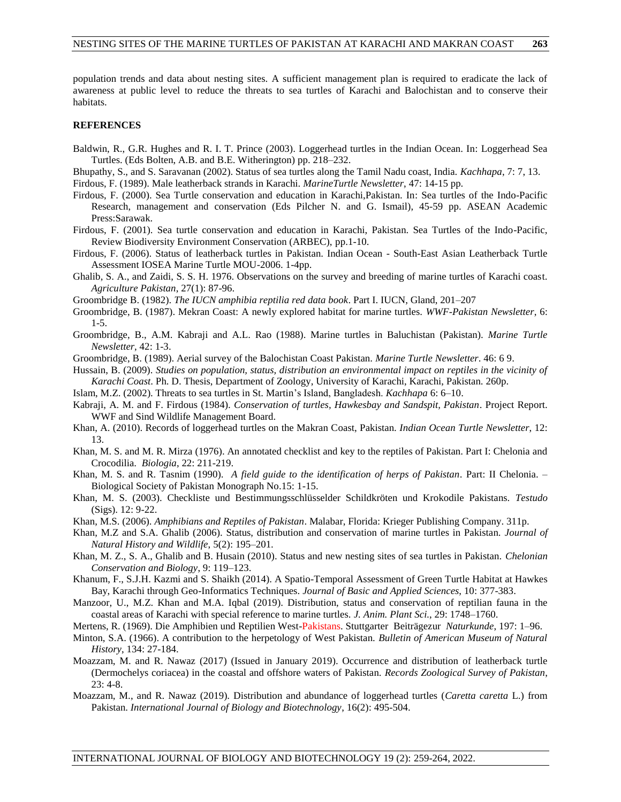population trends and data about nesting sites. A sufficient management plan is required to eradicate the lack of awareness at public level to reduce the threats to sea turtles of Karachi and Balochistan and to conserve their habitats.

## **REFERENCES**

Baldwin, R., G.R. Hughes and R. I. T. Prince (2003). Loggerhead turtles in the Indian Ocean. In: Loggerhead Sea Turtles. (Eds Bolten, A.B. and B.E. Witherington) pp. 218–232.

Bhupathy, S., and S. Saravanan (2002). Status of sea turtles along the Tamil Nadu coast, India. *Kachhapa*, 7: 7, 13.

Firdous, F. (1989). Male leatherback strands in Karachi. *MarineTurtle Newsletter*, 47: 14-15 pp.

- Firdous, F. (2000). Sea Turtle conservation and education in Karachi,Pakistan. In: Sea turtles of the Indo-Pacific Research, management and conservation (Eds Pilcher N. and G. Ismail), 45-59 pp. ASEAN Academic Press:Sarawak.
- Firdous, F. (2001). Sea turtle conservation and education in Karachi, Pakistan. Sea Turtles of the Indo-Pacific, Review Biodiversity Environment Conservation (ARBEC), pp.1-10.
- Firdous, F. (2006). Status of leatherback turtles in Pakistan. Indian Ocean South-East Asian Leatherback Turtle Assessment IOSEA Marine Turtle MOU-2006. 1-4pp.
- Ghalib, S. A., and Zaidi, S. S. H. 1976. Observations on the survey and breeding of marine turtles of Karachi coast. *Agriculture Pakistan*, 27(1): 87-96.
- Groombridge B. (1982). *The IUCN amphibia reptilia red data book*. Part I. IUCN, Gland, 201–207
- Groombridge, B. (1987). Mekran Coast: A newly explored habitat for marine turtles. *WWF-Pakistan Newsletter*, 6: 1-5.
- Groombridge, B., A.M. Kabraji and A.L. Rao (1988). Marine turtles in Baluchistan (Pakistan). *Marine Turtle Newsletter*, 42: 1-3.
- Groombridge, B. (1989). Aerial survey of the Balochistan Coast Pakistan. *Marine Turtle Newsletter*. 46: 6 9.

Hussain, B. (2009). *Studies on population, status, distribution an environmental impact on reptiles in the vicinity of Karachi Coast*. Ph. D. Thesis, Department of Zoology, University of Karachi, Karachi, Pakistan. 260p.

- Islam, M.Z. (2002). Threats to sea turtles in St. Martin's Island, Bangladesh. *Kachhapa* 6: 6–10.
- Kabraji, A. M. and F. Firdous (1984). *Conservation of turtles, Hawkesbay and Sandspit, Pakistan*. Project Report. WWF and Sind Wildlife Management Board.
- Khan, A. (2010). Records of loggerhead turtles on the Makran Coast, Pakistan. *Indian Ocean Turtle Newsletter*, 12: 13.
- Khan, M. S. and M. R. Mirza (1976). An annotated checklist and key to the reptiles of Pakistan. Part I: Chelonia and Crocodilia. *Biologia*, 22: 211-219.
- Khan, M. S. and R. Tasnim (1990). *A field guide to the identification of herps of Pakistan*. Part: II Chelonia. Biological Society of Pakistan Monograph No.15: 1-15.
- Khan, M. S. (2003). Checkliste und Bestimmungsschlüsselder Schildkröten und Krokodile Pakistans. *Testudo* (Sigs). 12: 9-22.
- Khan, M.S. (2006). *Amphibians and Reptiles of Pakistan*. Malabar, Florida: Krieger Publishing Company. 311p.
- Khan, M.Z and S.A. Ghalib (2006). Status, distribution and conservation of marine turtles in Pakistan. *Journal of Natural History and Wildlife*, 5(2): 195–201.
- Khan, M. Z., S. A., Ghalib and B. Husain (2010). Status and new nesting sites of sea turtles in Pakistan. *Chelonian Conservation and Biology*, 9: 119–123.
- Khanum, F., S.J.H. Kazmi and S. Shaikh (2014). A Spatio-Temporal Assessment of Green Turtle Habitat at Hawkes Bay, Karachi through Geo-Informatics Techniques. *Journal of Basic and Applied Sciences*, 10: 377-383.
- Manzoor, U., M.Z. Khan and M.A. Iqbal (2019). Distribution, status and conservation of reptilian fauna in the coastal areas of Karachi with special reference to marine turtles. *J. Anim. Plant Sci.*, 29: 1748–1760.
- Mertens, R. (1969). Die Amphibien und Reptilien West-Pakistans. Stuttgarter Beiträgezur *Naturkunde*, 197: 1–96.
- Minton, S.A. (1966). A contribution to the herpetology of West Pakistan. *Bulletin of American Museum of Natural History*, 134: 27-184.
- Moazzam, M. and R. Nawaz (2017) (Issued in January 2019). Occurrence and distribution of leatherback turtle (Dermochelys coriacea) in the coastal and offshore waters of Pakistan. *Records Zoological Survey of Pakistan*, 23: 4-8.
- Moazzam, M., and R. Nawaz (2019). Distribution and abundance of loggerhead turtles (*Caretta caretta* L.) from Pakistan. *International Journal of Biology and Biotechnology*, 16(2): 495-504.